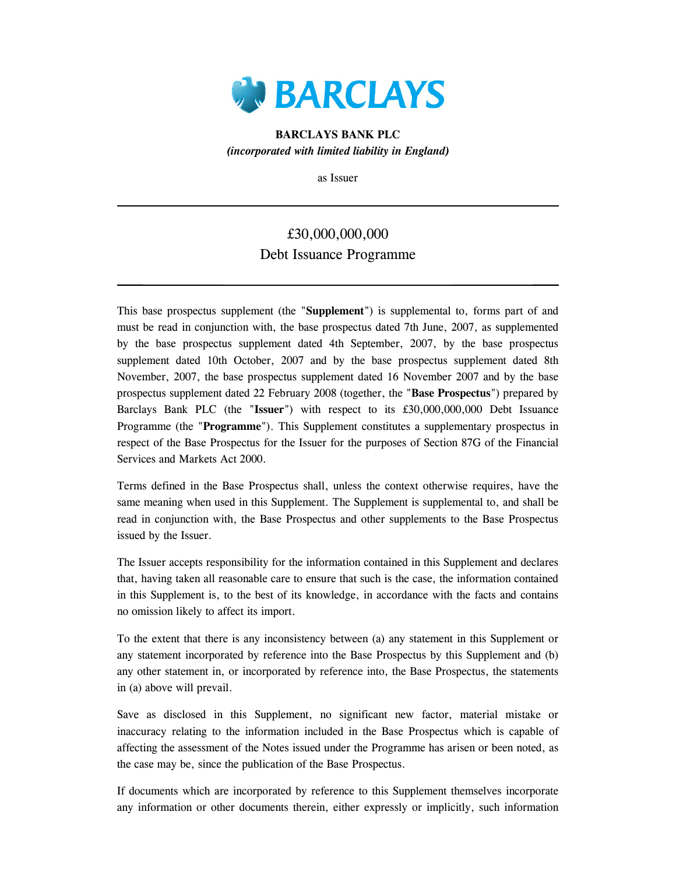

BARCLAYS BANK PLC (incorporated with limited liability in England)

as Issuer

## £30,000,000,000 Debt Issuance Programme

This base prospectus supplement (the "Supplement") is supplemental to, forms part of and must be read in conjunction with, the base prospectus dated 7th June, 2007, as supplemented by the base prospectus supplement dated 4th September, 2007, by the base prospectus supplement dated 10th October, 2007 and by the base prospectus supplement dated 8th November, 2007, the base prospectus supplement dated 16 November 2007 and by the base prospectus supplement dated 22 February 2008 (together, the "Base Prospectus") prepared by Barclays Bank PLC (the "Issuer") with respect to its £30,000,000,000 Debt Issuance Programme (the "Programme"). This Supplement constitutes a supplementary prospectus in respect of the Base Prospectus for the Issuer for the purposes of Section 87G of the Financial Services and Markets Act 2000.

Terms defined in the Base Prospectus shall, unless the context otherwise requires, have the same meaning when used in this Supplement. The Supplement is supplemental to, and shall be read in conjunction with, the Base Prospectus and other supplements to the Base Prospectus issued by the Issuer.

The Issuer accepts responsibility for the information contained in this Supplement and declares that, having taken all reasonable care to ensure that such is the case, the information contained in this Supplement is, to the best of its knowledge, in accordance with the facts and contains no omission likely to affect its import.

To the extent that there is any inconsistency between (a) any statement in this Supplement or any statement incorporated by reference into the Base Prospectus by this Supplement and (b) any other statement in, or incorporated by reference into, the Base Prospectus, the statements in (a) above will prevail.

Save as disclosed in this Supplement, no significant new factor, material mistake or inaccuracy relating to the information included in the Base Prospectus which is capable of affecting the assessment of the Notes issued under the Programme has arisen or been noted, as the case may be, since the publication of the Base Prospectus.

If documents which are incorporated by reference to this Supplement themselves incorporate any information or other documents therein, either expressly or implicitly, such information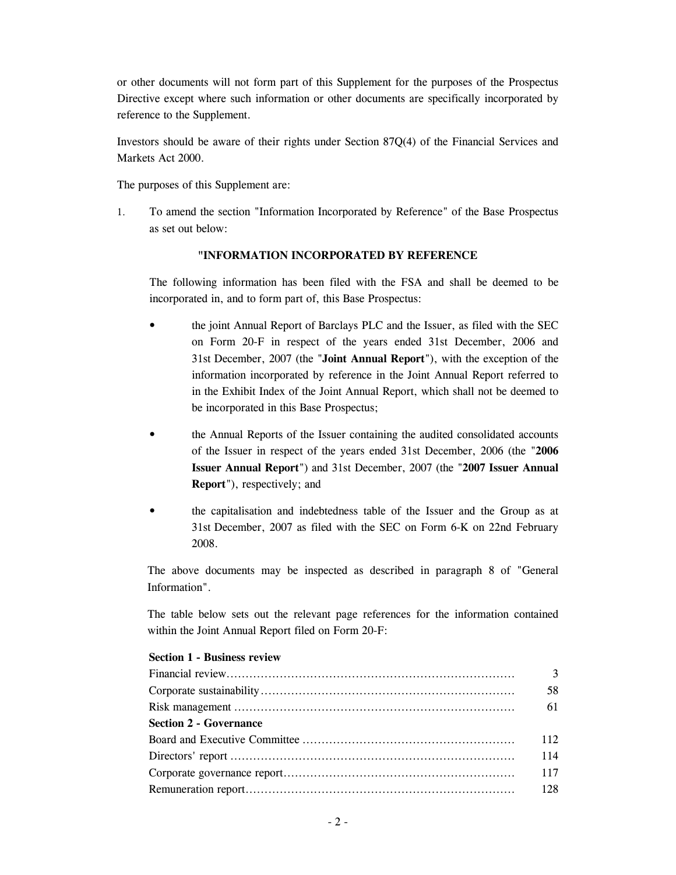or other documents will not form part of this Supplement for the purposes of the Prospectus Directive except where such information or other documents are specifically incorporated by reference to the Supplement.

Investors should be aware of their rights under Section 87Q(4) of the Financial Services and Markets Act 2000.

The purposes of this Supplement are:

1. To amend the section "Information Incorporated by Reference" of the Base Prospectus as set out below:

## "INFORMATION INCORPORATED BY REFERENCE

The following information has been filed with the FSA and shall be deemed to be incorporated in, and to form part of, this Base Prospectus:

- the joint Annual Report of Barclays PLC and the Issuer, as filed with the SEC on Form 20-F in respect of the years ended 31st December, 2006 and 31st December, 2007 (the "Joint Annual Report"), with the exception of the information incorporated by reference in the Joint Annual Report referred to in the Exhibit Index of the Joint Annual Report, which shall not be deemed to be incorporated in this Base Prospectus;
- the Annual Reports of the Issuer containing the audited consolidated accounts of the Issuer in respect of the years ended 31st December, 2006 (the "2006 Issuer Annual Report") and 31st December, 2007 (the "2007 Issuer Annual Report"), respectively; and
- the capitalisation and indebtedness table of the Issuer and the Group as at 31st December, 2007 as filed with the SEC on Form 6-K on 22nd February 2008.

The above documents may be inspected as described in paragraph 8 of "General Information".

The table below sets out the relevant page references for the information contained within the Joint Annual Report filed on Form 20-F:

|                               | 58  |
|-------------------------------|-----|
|                               | 61  |
| <b>Section 2 - Governance</b> |     |
|                               | 112 |
|                               | 114 |
|                               | 117 |
|                               |     |

## Section 1 - Business review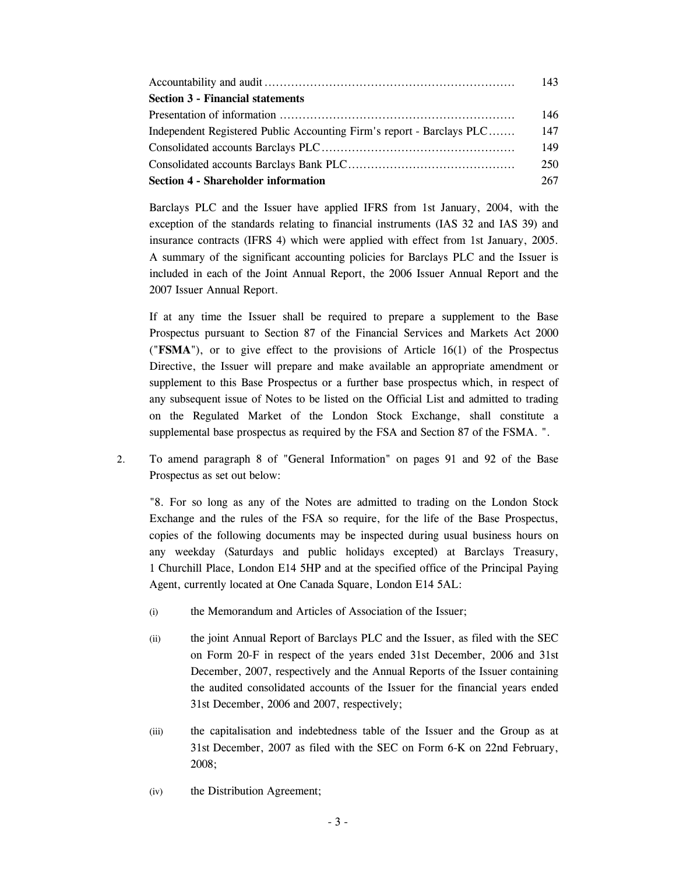|                                                                       | 143 |
|-----------------------------------------------------------------------|-----|
| <b>Section 3 - Financial statements</b>                               |     |
|                                                                       | 146 |
| Independent Registered Public Accounting Firm's report - Barclays PLC | 147 |
|                                                                       | 149 |
|                                                                       | 250 |
| <b>Section 4 - Shareholder information</b>                            | 267 |

Barclays PLC and the Issuer have applied IFRS from 1st January, 2004, with the exception of the standards relating to financial instruments (IAS 32 and IAS 39) and insurance contracts (IFRS 4) which were applied with effect from 1st January, 2005. A summary of the significant accounting policies for Barclays PLC and the Issuer is included in each of the Joint Annual Report, the 2006 Issuer Annual Report and the 2007 Issuer Annual Report.

If at any time the Issuer shall be required to prepare a supplement to the Base Prospectus pursuant to Section 87 of the Financial Services and Markets Act 2000 (" $\text{FSMA}$ "), or to give effect to the provisions of Article 16(1) of the Prospectus Directive, the Issuer will prepare and make available an appropriate amendment or supplement to this Base Prospectus or a further base prospectus which, in respect of any subsequent issue of Notes to be listed on the Official List and admitted to trading on the Regulated Market of the London Stock Exchange, shall constitute a supplemental base prospectus as required by the FSA and Section 87 of the FSMA. ".

2. To amend paragraph 8 of "General Information" on pages 91 and 92 of the Base Prospectus as set out below:

"8. For so long as any of the Notes are admitted to trading on the London Stock Exchange and the rules of the FSA so require, for the life of the Base Prospectus, copies of the following documents may be inspected during usual business hours on any weekday (Saturdays and public holidays excepted) at Barclays Treasury, 1 Churchill Place, London E14 5HP and at the specified office of the Principal Paying Agent, currently located at One Canada Square, London E14 5AL:

- (i) the Memorandum and Articles of Association of the Issuer;
- (ii) the joint Annual Report of Barclays PLC and the Issuer, as filed with the SEC on Form 20-F in respect of the years ended 31st December, 2006 and 31st December, 2007, respectively and the Annual Reports of the Issuer containing the audited consolidated accounts of the Issuer for the financial years ended 31st December, 2006 and 2007, respectively;
- (iii) the capitalisation and indebtedness table of the Issuer and the Group as at 31st December, 2007 as filed with the SEC on Form 6-K on 22nd February, 2008;
- (iv) the Distribution Agreement;